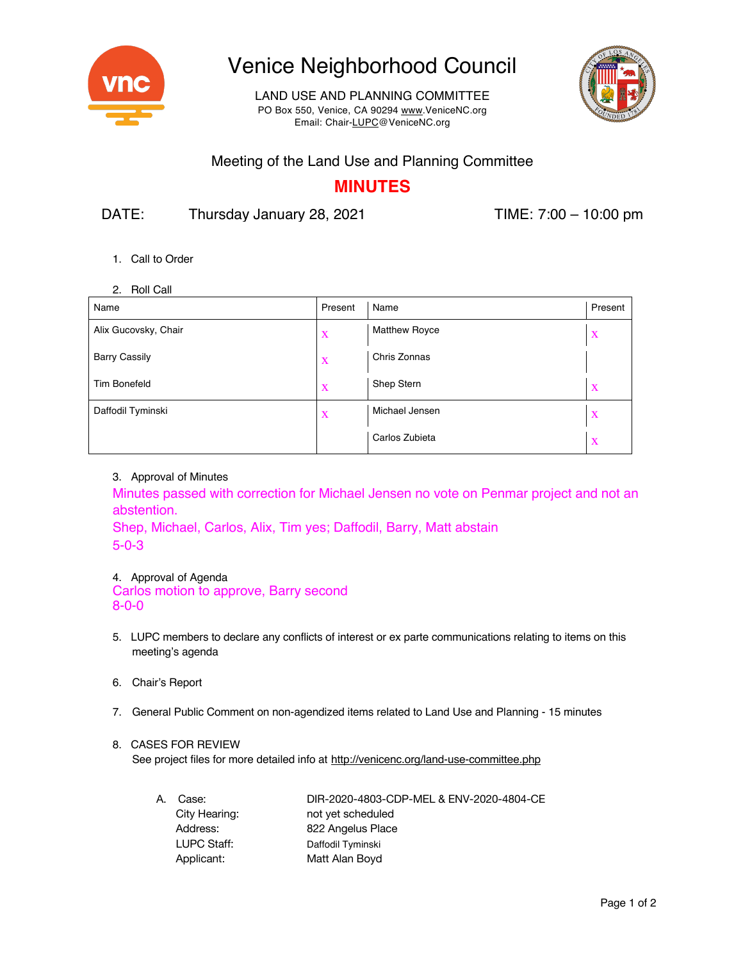

# Venice Neighborhood Council

LAND USE AND PLANNING COMMITTEE PO Box 550, Venice, CA 90294 www.VeniceNC.org Email: Chair-LUPC@VeniceNC.org



### Meeting of the Land Use and Planning Committee

### **MINUTES**

DATE: Thursday January 28, 2021 TIME: 7:00 – 10:00 pm

- 1. Call to Order
- 2. Roll Call

| Name                 | Present     | Name                 | Present |
|----------------------|-------------|----------------------|---------|
| Alix Gucovsky, Chair | X           | <b>Matthew Royce</b> | X       |
| <b>Barry Cassily</b> | $\mathbf X$ | Chris Zonnas         |         |
| <b>Tim Bonefeld</b>  | X           | Shep Stern           | X       |
| Daffodil Tyminski    | X           | Michael Jensen       | X       |
|                      |             | Carlos Zubieta       | X       |

3. Approval of Minutes

Minutes passed with correction for Michael Jensen no vote on Penmar project and not an abstention.

Shep, Michael, Carlos, Alix, Tim yes; Daffodil, Barry, Matt abstain 5-0-3

#### 4. Approval of Agenda

Carlos motion to approve, Barry second 8-0-0

- 5. LUPC members to declare any conflicts of interest or ex parte communications relating to items on this meeting's agenda
- 6. Chair's Report
- 7. General Public Comment on non-agendized items related to Land Use and Planning 15 minutes

#### 8. CASES FOR REVIEW

See project files for more detailed info at http://venicenc.org/land-use-committee.php

| А. | Case:         | DIR-2020-4803-CDP-MEL & ENV-2020-4804-CE |
|----|---------------|------------------------------------------|
|    | City Hearing: | not yet scheduled                        |
|    | Address:      | 822 Angelus Place                        |
|    | LUPC Staff:   | Daffodil Tyminski                        |
|    | Applicant:    | Matt Alan Boyd                           |